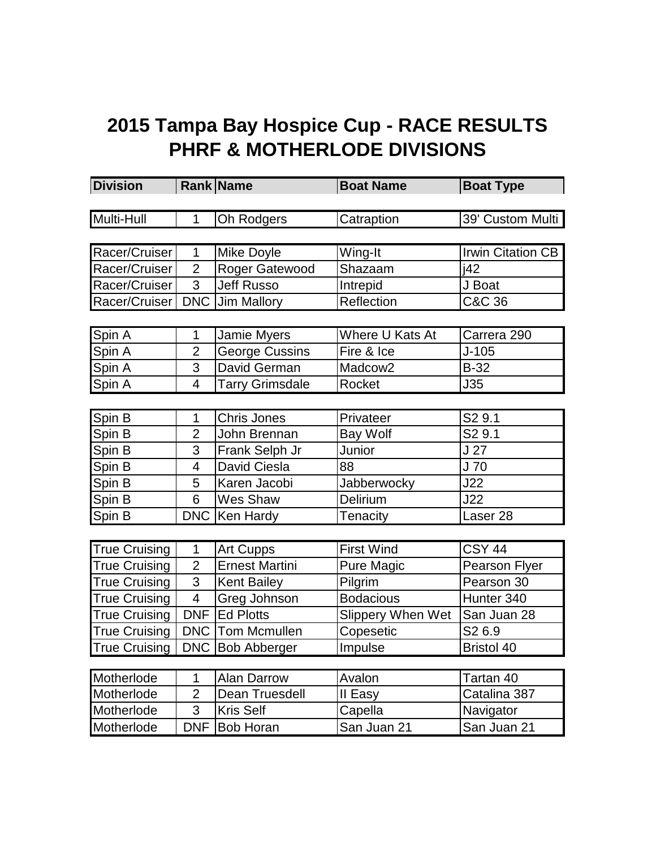## **2015 Tampa Bay Hospice Cup - RACE RESULTS PHRF & MOTHERLODE DIVISIONS**

| <b>Division</b>      |                | Rank Name              | <b>Boat Name</b>  | <b>Boat Type</b>                   |
|----------------------|----------------|------------------------|-------------------|------------------------------------|
|                      |                |                        |                   |                                    |
| Multi-Hull           | $\mathbf{1}$   | Oh Rodgers             | Catraption        | 39' Custom Multi                   |
|                      |                |                        |                   |                                    |
| Racer/Cruiser        | 1              | Mike Doyle             | Wing-It           | <b>Irwin Citation CB</b>           |
| Racer/Cruiser        | $\overline{2}$ | Roger Gatewood         | Shazaam           | i42                                |
| Racer/Cruiser        | 3              | <b>Jeff Russo</b>      | Intrepid          | J Boat                             |
| Racer/Cruiser        | <b>DNC</b>     | Jim Mallory            | Reflection        | $\overline{\text{C}\&\text{C}}$ 36 |
|                      |                |                        |                   |                                    |
| Spin A               | 1              | Jamie Myers            | Where U Kats At   | Carrera 290                        |
| Spin A               | $\overline{2}$ | <b>George Cussins</b>  | Fire & Ice        | $J - 105$                          |
| Spin A               | 3              | David German           | Madcow2           | $B-32$                             |
| Spin A               | $\overline{4}$ | <b>Tarry Grimsdale</b> | Rocket            | J35                                |
|                      |                |                        |                   |                                    |
| Spin B               | 1              | <b>Chris Jones</b>     | Privateer         | S <sub>2</sub> 9.1                 |
| Spin B               | $\overline{2}$ | John Brennan           | <b>Bay Wolf</b>   | S <sub>2</sub> 9.1                 |
| Spin B               | 3              | Frank Selph Jr         | Junior            | J <sub>27</sub>                    |
| Spin B               | $\overline{4}$ | David Ciesla           | 88                | $\overline{J}$ 70                  |
| Spin B               | 5              | Karen Jacobi           | Jabberwocky       | J22                                |
| Spin B               | 6              | Wes Shaw               | Delirium          | J22                                |
| Spin B               |                | DNC   Ken Hardy        | Tenacity          | Laser <sub>28</sub>                |
|                      |                |                        |                   |                                    |
| <b>True Cruising</b> | $\mathbf 1$    | <b>Art Cupps</b>       | <b>First Wind</b> | <b>CSY 44</b>                      |
| <b>True Cruising</b> | $\overline{2}$ | <b>Ernest Martini</b>  | Pure Magic        | <b>Pearson Flyer</b>               |
| True Cruising        | 3              | <b>Kent Bailey</b>     | Pilgrim           | Pearson 30                         |
| <b>True Cruising</b> | $\overline{4}$ | Greg Johnson           | <b>Bodacious</b>  | Hunter 340                         |
| <b>True Cruising</b> | <b>DNF</b>     | <b>Ed Plotts</b>       | Slippery When Wet | San Juan 28                        |
| <b>True Cruising</b> | <b>DNC</b>     | <b>Tom Mcmullen</b>    | Copesetic         | S <sub>2</sub> 6.9                 |
| <b>True Cruising</b> |                | DNC Bob Abberger       | Impulse           | <b>Bristol 40</b>                  |
|                      |                |                        |                   |                                    |
| Motherlode           | 1              | <b>Alan Darrow</b>     | Avalon            | Tartan 40                          |
| Motherlode           | $\overline{2}$ | Dean Truesdell         | II Easy           | Catalina 387                       |
| Motherlode           | 3              | <b>Kris Self</b>       | Capella           | Navigator                          |
| Motherlode           | <b>DNF</b>     | <b>Bob Horan</b>       | San Juan 21       | San Juan 21                        |